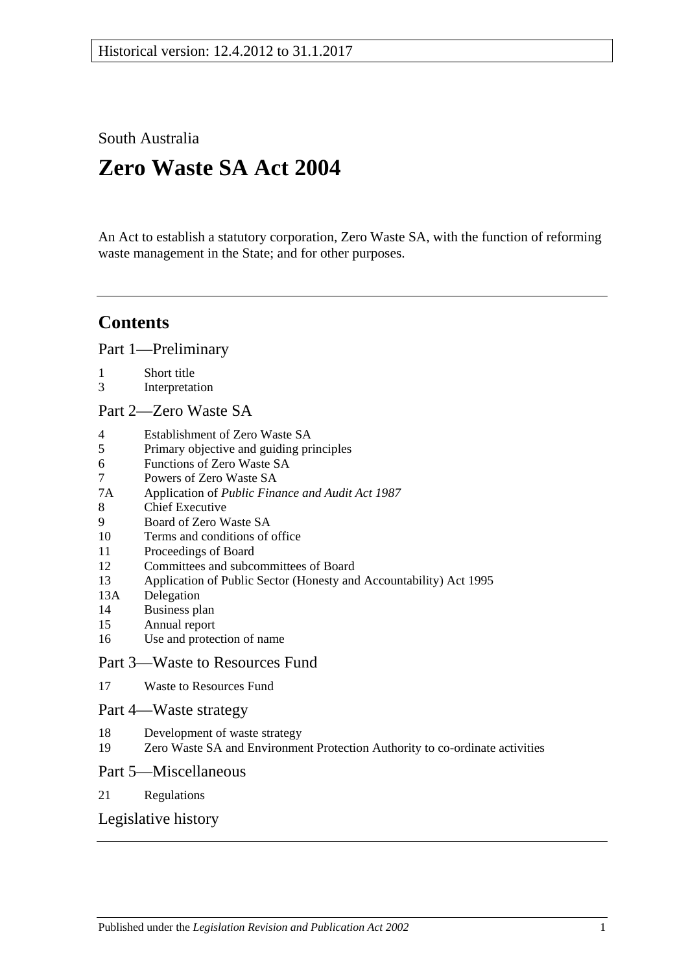South Australia

# **Zero Waste SA Act 2004**

An Act to establish a statutory corporation, Zero Waste SA, with the function of reforming waste management in the State; and for other purposes.

# **Contents**

[Part 1—Preliminary](#page-1-0)

- 1 [Short title](#page-1-1)
- 3 [Interpretation](#page-1-2)
- [Part 2—Zero Waste SA](#page-1-3)
- 4 [Establishment of Zero Waste SA](#page-1-4)
- 5 [Primary objective and guiding principles](#page-2-0)
- 6 [Functions of Zero Waste SA](#page-2-1)
- 7 [Powers of Zero Waste SA](#page-3-0)
- 7A Application of *[Public Finance and Audit Act](#page-3-1) 1987*
- 8 [Chief Executive](#page-3-2)
- 9 [Board of Zero Waste SA](#page-4-0)
- 10 [Terms and conditions of office](#page-4-1)
- 11 [Proceedings of Board](#page-5-0)
- 12 [Committees and subcommittees of Board](#page-5-1)
- 13 [Application of Public Sector \(Honesty and Accountability\) Act 1995](#page-6-0)
- 13A [Delegation](#page-6-1)
- 14 [Business plan](#page-6-2)
- 15 [Annual report](#page-7-0)
- 16 [Use and protection of name](#page-7-1)

#### [Part 3—Waste to Resources Fund](#page-8-0)

17 [Waste to Resources Fund](#page-8-1)

# [Part 4—Waste strategy](#page-9-0)

- 18 [Development of waste strategy](#page-9-1)
- 19 [Zero Waste SA and Environment Protection Authority to co-ordinate activities](#page-10-0)

#### [Part 5—Miscellaneous](#page-10-1)

21 [Regulations](#page-10-2)

### [Legislative history](#page-11-0)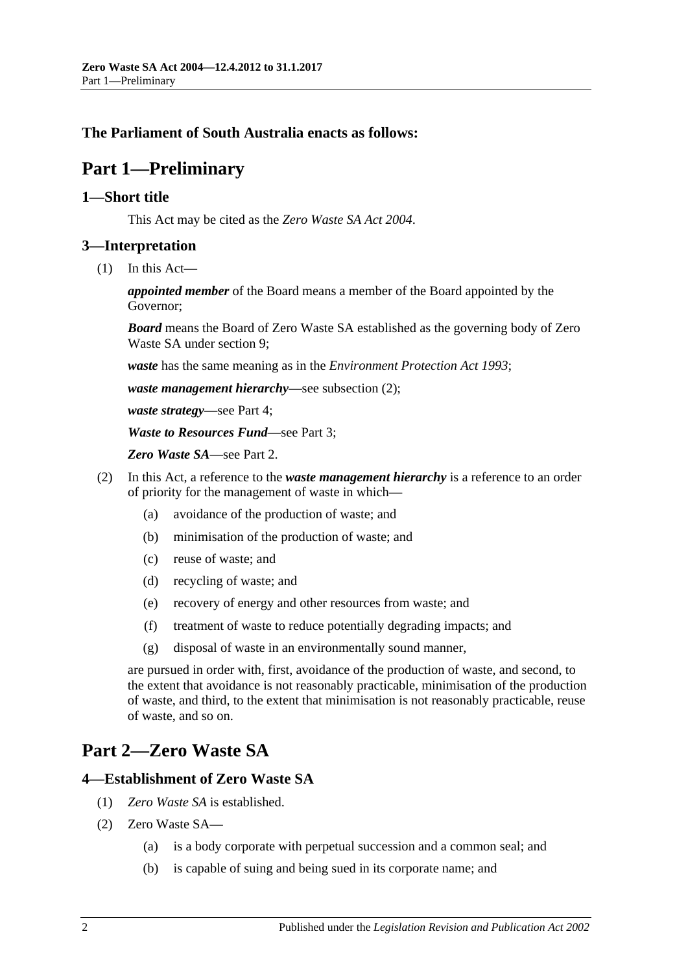# <span id="page-1-0"></span>**The Parliament of South Australia enacts as follows:**

# **Part 1—Preliminary**

#### <span id="page-1-1"></span>**1—Short title**

This Act may be cited as the *Zero Waste SA Act 2004*.

### <span id="page-1-2"></span>**3—Interpretation**

(1) In this Act—

*appointed member* of the Board means a member of the Board appointed by the Governor;

*Board* means the Board of Zero Waste SA established as the governing body of Zero Waste SA under [section](#page-4-0) 9;

*waste* has the same meaning as in the *[Environment Protection Act](http://www.legislation.sa.gov.au/index.aspx?action=legref&type=act&legtitle=Environment%20Protection%20Act%201993) 1993*;

*waste management hierarchy*—see [subsection](#page-1-5) (2);

*waste strategy*—see [Part 4;](#page-9-0)

*Waste to Resources Fund*—see [Part 3;](#page-8-0)

*Zero Waste SA*—see [Part 2.](#page-1-3)

- <span id="page-1-5"></span>(2) In this Act, a reference to the *waste management hierarchy* is a reference to an order of priority for the management of waste in which—
	- (a) avoidance of the production of waste; and
	- (b) minimisation of the production of waste; and
	- (c) reuse of waste; and
	- (d) recycling of waste; and
	- (e) recovery of energy and other resources from waste; and
	- (f) treatment of waste to reduce potentially degrading impacts; and
	- (g) disposal of waste in an environmentally sound manner,

are pursued in order with, first, avoidance of the production of waste, and second, to the extent that avoidance is not reasonably practicable, minimisation of the production of waste, and third, to the extent that minimisation is not reasonably practicable, reuse of waste, and so on.

# <span id="page-1-3"></span>**Part 2—Zero Waste SA**

#### <span id="page-1-4"></span>**4—Establishment of Zero Waste SA**

- (1) *Zero Waste SA* is established.
- (2) Zero Waste SA—
	- (a) is a body corporate with perpetual succession and a common seal; and
	- (b) is capable of suing and being sued in its corporate name; and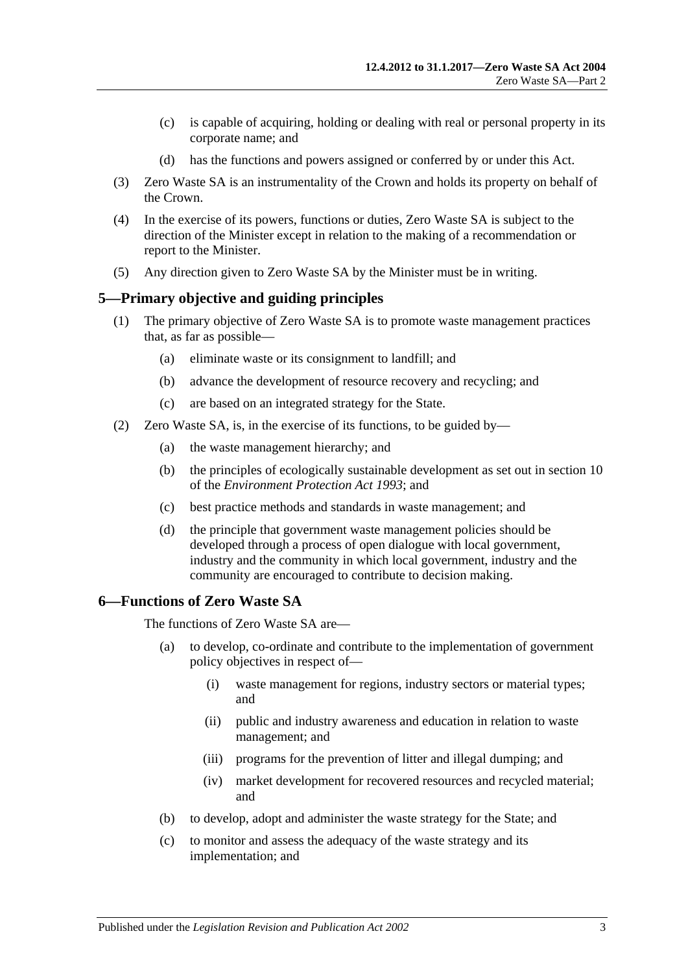- (c) is capable of acquiring, holding or dealing with real or personal property in its corporate name; and
- (d) has the functions and powers assigned or conferred by or under this Act.
- (3) Zero Waste SA is an instrumentality of the Crown and holds its property on behalf of the Crown.
- (4) In the exercise of its powers, functions or duties, Zero Waste SA is subject to the direction of the Minister except in relation to the making of a recommendation or report to the Minister.
- (5) Any direction given to Zero Waste SA by the Minister must be in writing.

#### <span id="page-2-0"></span>**5—Primary objective and guiding principles**

- (1) The primary objective of Zero Waste SA is to promote waste management practices that, as far as possible—
	- (a) eliminate waste or its consignment to landfill; and
	- (b) advance the development of resource recovery and recycling; and
	- (c) are based on an integrated strategy for the State.
- (2) Zero Waste SA, is, in the exercise of its functions, to be guided by—
	- (a) the waste management hierarchy; and
	- (b) the principles of ecologically sustainable development as set out in section 10 of the *[Environment Protection Act](http://www.legislation.sa.gov.au/index.aspx?action=legref&type=act&legtitle=Environment%20Protection%20Act%201993) 1993*; and
	- (c) best practice methods and standards in waste management; and
	- (d) the principle that government waste management policies should be developed through a process of open dialogue with local government, industry and the community in which local government, industry and the community are encouraged to contribute to decision making.

#### <span id="page-2-1"></span>**6—Functions of Zero Waste SA**

The functions of Zero Waste SA are—

- (a) to develop, co-ordinate and contribute to the implementation of government policy objectives in respect of—
	- (i) waste management for regions, industry sectors or material types; and
	- (ii) public and industry awareness and education in relation to waste management; and
	- (iii) programs for the prevention of litter and illegal dumping; and
	- (iv) market development for recovered resources and recycled material; and
- (b) to develop, adopt and administer the waste strategy for the State; and
- (c) to monitor and assess the adequacy of the waste strategy and its implementation; and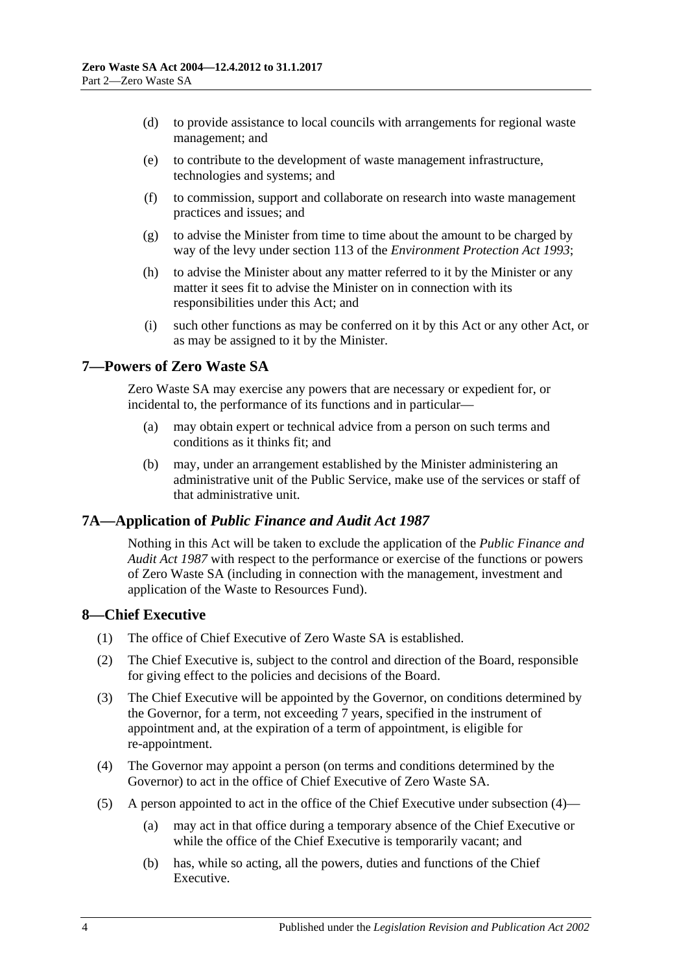- (d) to provide assistance to local councils with arrangements for regional waste management; and
- (e) to contribute to the development of waste management infrastructure, technologies and systems; and
- (f) to commission, support and collaborate on research into waste management practices and issues; and
- (g) to advise the Minister from time to time about the amount to be charged by way of the levy under section 113 of the *[Environment Protection Act](http://www.legislation.sa.gov.au/index.aspx?action=legref&type=act&legtitle=Environment%20Protection%20Act%201993) 1993*;
- (h) to advise the Minister about any matter referred to it by the Minister or any matter it sees fit to advise the Minister on in connection with its responsibilities under this Act; and
- (i) such other functions as may be conferred on it by this Act or any other Act, or as may be assigned to it by the Minister.

### <span id="page-3-0"></span>**7—Powers of Zero Waste SA**

Zero Waste SA may exercise any powers that are necessary or expedient for, or incidental to, the performance of its functions and in particular—

- (a) may obtain expert or technical advice from a person on such terms and conditions as it thinks  $fit$  and
- (b) may, under an arrangement established by the Minister administering an administrative unit of the Public Service, make use of the services or staff of that administrative unit.

### <span id="page-3-1"></span>**7A—Application of** *Public Finance and Audit Act 1987*

Nothing in this Act will be taken to exclude the application of the *[Public Finance and](http://www.legislation.sa.gov.au/index.aspx?action=legref&type=act&legtitle=Public%20Finance%20and%20Audit%20Act%201987)  [Audit Act](http://www.legislation.sa.gov.au/index.aspx?action=legref&type=act&legtitle=Public%20Finance%20and%20Audit%20Act%201987) 1987* with respect to the performance or exercise of the functions or powers of Zero Waste SA (including in connection with the management, investment and application of the Waste to Resources Fund).

### <span id="page-3-2"></span>**8—Chief Executive**

- (1) The office of Chief Executive of Zero Waste SA is established.
- (2) The Chief Executive is, subject to the control and direction of the Board, responsible for giving effect to the policies and decisions of the Board.
- (3) The Chief Executive will be appointed by the Governor, on conditions determined by the Governor, for a term, not exceeding 7 years, specified in the instrument of appointment and, at the expiration of a term of appointment, is eligible for re-appointment.
- <span id="page-3-3"></span>(4) The Governor may appoint a person (on terms and conditions determined by the Governor) to act in the office of Chief Executive of Zero Waste SA.
- (5) A person appointed to act in the office of the Chief Executive under [subsection](#page-3-3) (4)—
	- (a) may act in that office during a temporary absence of the Chief Executive or while the office of the Chief Executive is temporarily vacant; and
	- (b) has, while so acting, all the powers, duties and functions of the Chief Executive.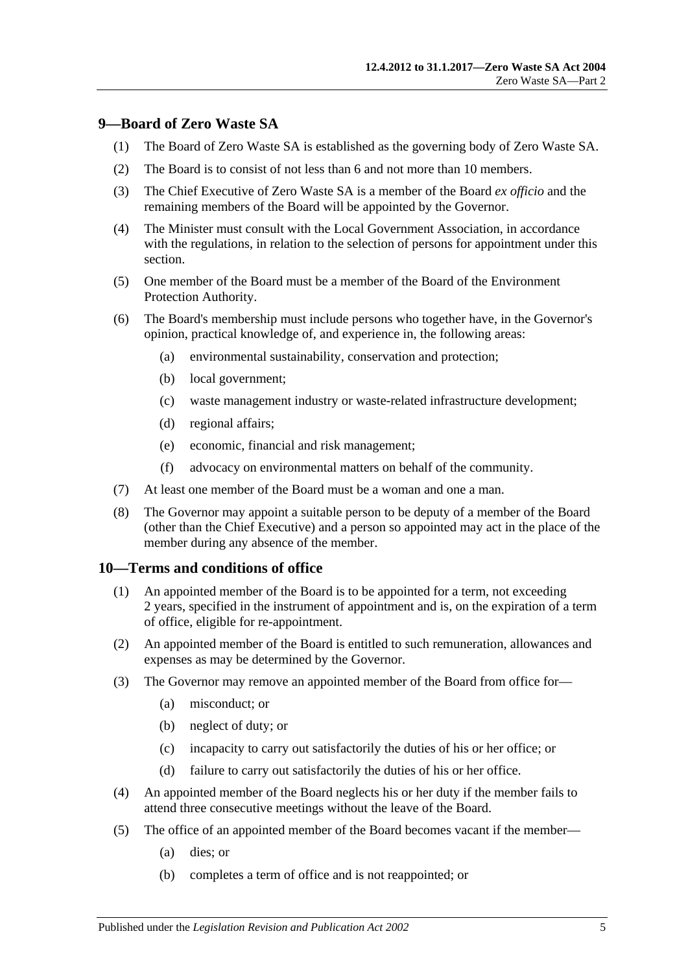### <span id="page-4-0"></span>**9—Board of Zero Waste SA**

- (1) The Board of Zero Waste SA is established as the governing body of Zero Waste SA.
- (2) The Board is to consist of not less than 6 and not more than 10 members.
- (3) The Chief Executive of Zero Waste SA is a member of the Board *ex officio* and the remaining members of the Board will be appointed by the Governor.
- (4) The Minister must consult with the Local Government Association, in accordance with the regulations, in relation to the selection of persons for appointment under this section.
- (5) One member of the Board must be a member of the Board of the Environment Protection Authority.
- (6) The Board's membership must include persons who together have, in the Governor's opinion, practical knowledge of, and experience in, the following areas:
	- (a) environmental sustainability, conservation and protection;
	- (b) local government;
	- (c) waste management industry or waste-related infrastructure development;
	- (d) regional affairs;
	- (e) economic, financial and risk management;
	- (f) advocacy on environmental matters on behalf of the community.
- (7) At least one member of the Board must be a woman and one a man.
- (8) The Governor may appoint a suitable person to be deputy of a member of the Board (other than the Chief Executive) and a person so appointed may act in the place of the member during any absence of the member.

#### <span id="page-4-1"></span>**10—Terms and conditions of office**

- (1) An appointed member of the Board is to be appointed for a term, not exceeding 2 years, specified in the instrument of appointment and is, on the expiration of a term of office, eligible for re-appointment.
- (2) An appointed member of the Board is entitled to such remuneration, allowances and expenses as may be determined by the Governor.
- <span id="page-4-2"></span>(3) The Governor may remove an appointed member of the Board from office for—
	- (a) misconduct; or
	- (b) neglect of duty; or
	- (c) incapacity to carry out satisfactorily the duties of his or her office; or
	- (d) failure to carry out satisfactorily the duties of his or her office.
- (4) An appointed member of the Board neglects his or her duty if the member fails to attend three consecutive meetings without the leave of the Board.
- (5) The office of an appointed member of the Board becomes vacant if the member—
	- (a) dies; or
	- (b) completes a term of office and is not reappointed; or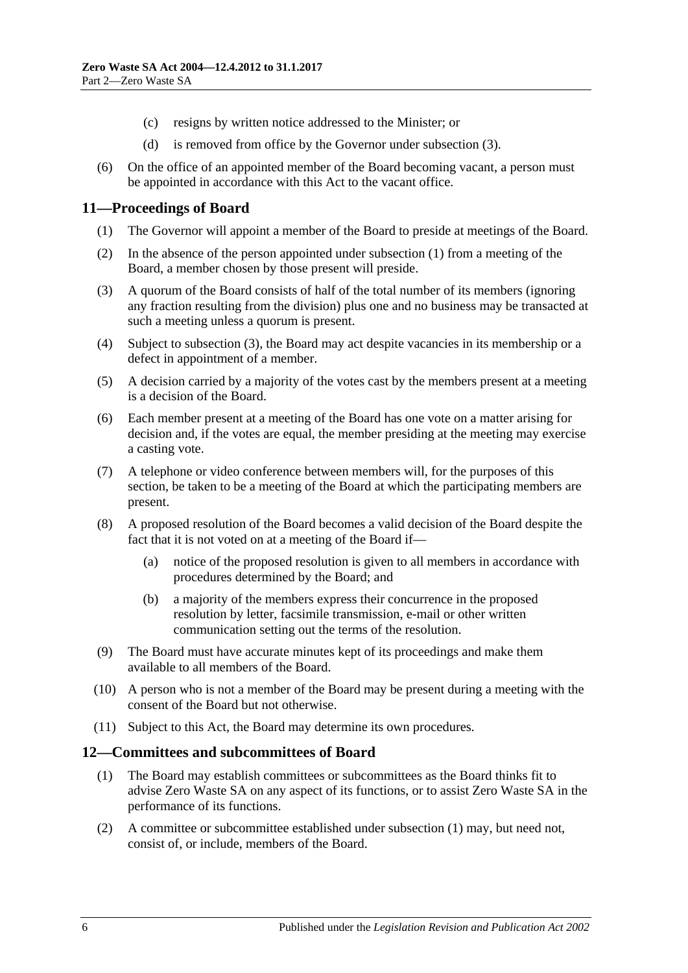- (c) resigns by written notice addressed to the Minister; or
- (d) is removed from office by the Governor under [subsection](#page-4-2) (3).
- (6) On the office of an appointed member of the Board becoming vacant, a person must be appointed in accordance with this Act to the vacant office.

#### <span id="page-5-2"></span><span id="page-5-0"></span>**11—Proceedings of Board**

- (1) The Governor will appoint a member of the Board to preside at meetings of the Board.
- (2) In the absence of the person appointed under [subsection](#page-5-2) (1) from a meeting of the Board, a member chosen by those present will preside.
- <span id="page-5-3"></span>(3) A quorum of the Board consists of half of the total number of its members (ignoring any fraction resulting from the division) plus one and no business may be transacted at such a meeting unless a quorum is present.
- (4) Subject to [subsection](#page-5-3) (3), the Board may act despite vacancies in its membership or a defect in appointment of a member.
- (5) A decision carried by a majority of the votes cast by the members present at a meeting is a decision of the Board.
- (6) Each member present at a meeting of the Board has one vote on a matter arising for decision and, if the votes are equal, the member presiding at the meeting may exercise a casting vote.
- (7) A telephone or video conference between members will, for the purposes of this section, be taken to be a meeting of the Board at which the participating members are present.
- (8) A proposed resolution of the Board becomes a valid decision of the Board despite the fact that it is not voted on at a meeting of the Board if—
	- (a) notice of the proposed resolution is given to all members in accordance with procedures determined by the Board; and
	- (b) a majority of the members express their concurrence in the proposed resolution by letter, facsimile transmission, e-mail or other written communication setting out the terms of the resolution.
- (9) The Board must have accurate minutes kept of its proceedings and make them available to all members of the Board.
- (10) A person who is not a member of the Board may be present during a meeting with the consent of the Board but not otherwise.
- (11) Subject to this Act, the Board may determine its own procedures.

#### <span id="page-5-4"></span><span id="page-5-1"></span>**12—Committees and subcommittees of Board**

- (1) The Board may establish committees or subcommittees as the Board thinks fit to advise Zero Waste SA on any aspect of its functions, or to assist Zero Waste SA in the performance of its functions.
- (2) A committee or subcommittee established under [subsection](#page-5-4) (1) may, but need not, consist of, or include, members of the Board.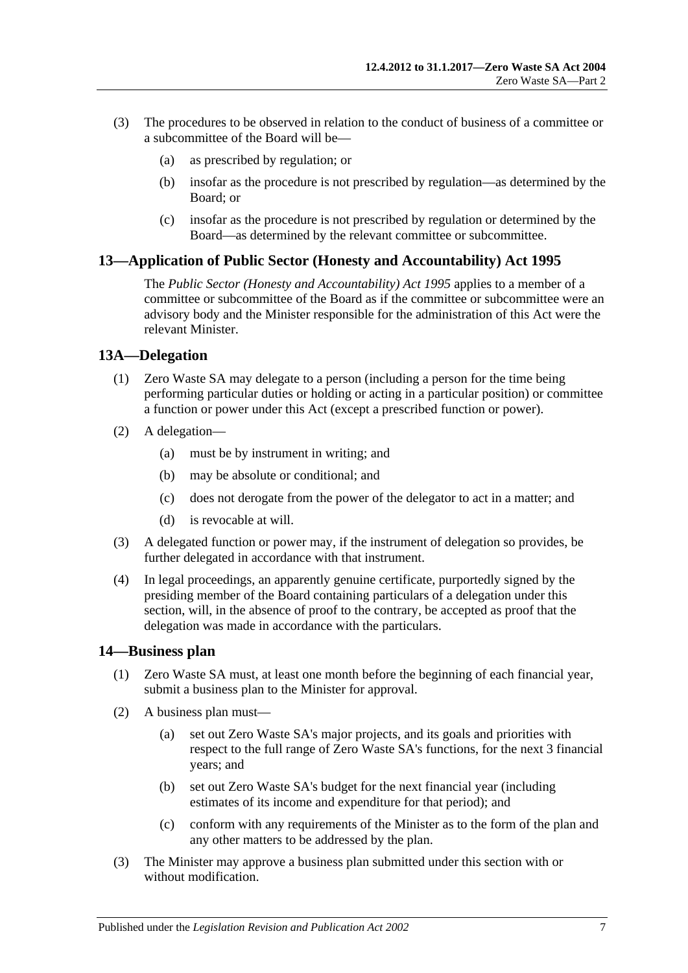- (3) The procedures to be observed in relation to the conduct of business of a committee or a subcommittee of the Board will be—
	- (a) as prescribed by regulation; or
	- (b) insofar as the procedure is not prescribed by regulation—as determined by the Board; or
	- (c) insofar as the procedure is not prescribed by regulation or determined by the Board—as determined by the relevant committee or subcommittee.

#### <span id="page-6-0"></span>**13—Application of Public Sector (Honesty and Accountability) Act 1995**

The *[Public Sector \(Honesty and Accountability\) Act](http://www.legislation.sa.gov.au/index.aspx?action=legref&type=act&legtitle=Public%20Sector%20(Honesty%20and%20Accountability)%20Act%201995) 1995* applies to a member of a committee or subcommittee of the Board as if the committee or subcommittee were an advisory body and the Minister responsible for the administration of this Act were the relevant Minister.

#### <span id="page-6-1"></span>**13A—Delegation**

- (1) Zero Waste SA may delegate to a person (including a person for the time being performing particular duties or holding or acting in a particular position) or committee a function or power under this Act (except a prescribed function or power).
- (2) A delegation—
	- (a) must be by instrument in writing; and
	- (b) may be absolute or conditional; and
	- (c) does not derogate from the power of the delegator to act in a matter; and
	- (d) is revocable at will.
- (3) A delegated function or power may, if the instrument of delegation so provides, be further delegated in accordance with that instrument.
- (4) In legal proceedings, an apparently genuine certificate, purportedly signed by the presiding member of the Board containing particulars of a delegation under this section, will, in the absence of proof to the contrary, be accepted as proof that the delegation was made in accordance with the particulars.

#### <span id="page-6-2"></span>**14—Business plan**

- (1) Zero Waste SA must, at least one month before the beginning of each financial year, submit a business plan to the Minister for approval.
- (2) A business plan must—
	- (a) set out Zero Waste SA's major projects, and its goals and priorities with respect to the full range of Zero Waste SA's functions, for the next 3 financial years; and
	- (b) set out Zero Waste SA's budget for the next financial year (including estimates of its income and expenditure for that period); and
	- (c) conform with any requirements of the Minister as to the form of the plan and any other matters to be addressed by the plan.
- (3) The Minister may approve a business plan submitted under this section with or without modification.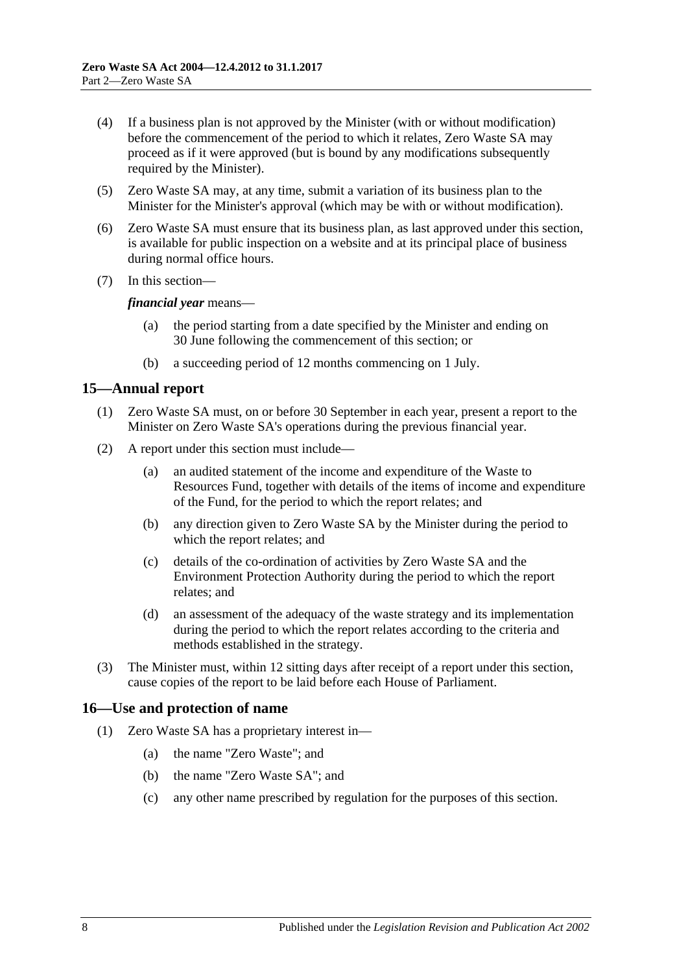- (4) If a business plan is not approved by the Minister (with or without modification) before the commencement of the period to which it relates, Zero Waste SA may proceed as if it were approved (but is bound by any modifications subsequently required by the Minister).
- (5) Zero Waste SA may, at any time, submit a variation of its business plan to the Minister for the Minister's approval (which may be with or without modification).
- (6) Zero Waste SA must ensure that its business plan, as last approved under this section, is available for public inspection on a website and at its principal place of business during normal office hours.
- (7) In this section—

*financial year* means—

- (a) the period starting from a date specified by the Minister and ending on 30 June following the commencement of this section; or
- (b) a succeeding period of 12 months commencing on 1 July.

### <span id="page-7-0"></span>**15—Annual report**

- (1) Zero Waste SA must, on or before 30 September in each year, present a report to the Minister on Zero Waste SA's operations during the previous financial year.
- (2) A report under this section must include—
	- (a) an audited statement of the income and expenditure of the Waste to Resources Fund, together with details of the items of income and expenditure of the Fund, for the period to which the report relates; and
	- (b) any direction given to Zero Waste SA by the Minister during the period to which the report relates; and
	- (c) details of the co-ordination of activities by Zero Waste SA and the Environment Protection Authority during the period to which the report relates; and
	- (d) an assessment of the adequacy of the waste strategy and its implementation during the period to which the report relates according to the criteria and methods established in the strategy.
- (3) The Minister must, within 12 sitting days after receipt of a report under this section, cause copies of the report to be laid before each House of Parliament.

### <span id="page-7-1"></span>**16—Use and protection of name**

- (1) Zero Waste SA has a proprietary interest in—
	- (a) the name "Zero Waste"; and
	- (b) the name "Zero Waste SA"; and
	- (c) any other name prescribed by regulation for the purposes of this section.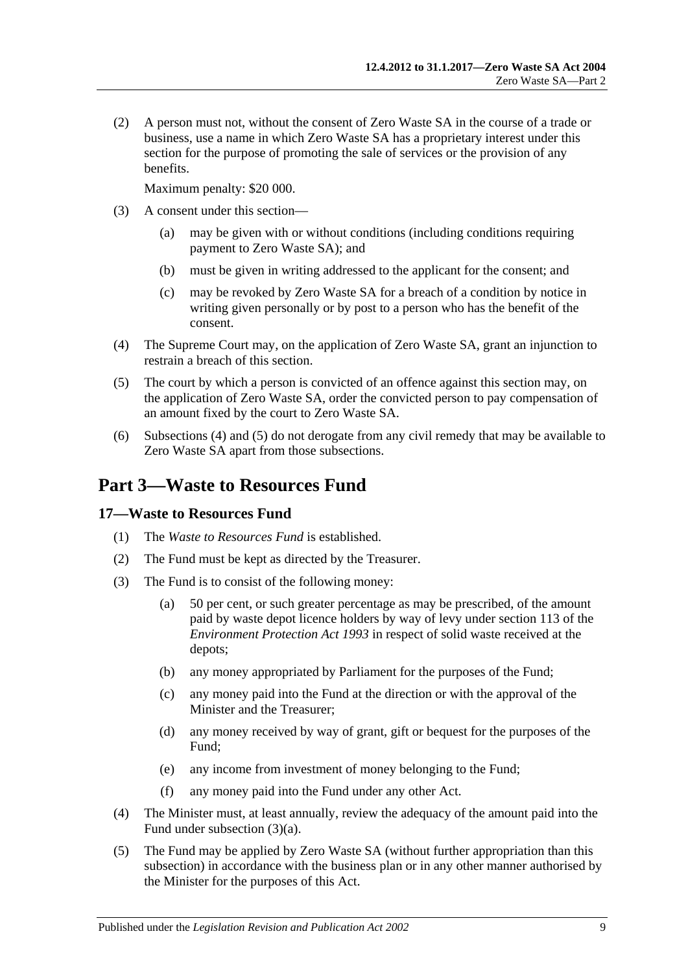(2) A person must not, without the consent of Zero Waste SA in the course of a trade or business, use a name in which Zero Waste SA has a proprietary interest under this section for the purpose of promoting the sale of services or the provision of any benefits.

Maximum penalty: \$20 000.

- (3) A consent under this section—
	- (a) may be given with or without conditions (including conditions requiring payment to Zero Waste SA); and
	- (b) must be given in writing addressed to the applicant for the consent; and
	- (c) may be revoked by Zero Waste SA for a breach of a condition by notice in writing given personally or by post to a person who has the benefit of the consent.
- <span id="page-8-2"></span>(4) The Supreme Court may, on the application of Zero Waste SA, grant an injunction to restrain a breach of this section.
- <span id="page-8-3"></span>(5) The court by which a person is convicted of an offence against this section may, on the application of Zero Waste SA, order the convicted person to pay compensation of an amount fixed by the court to Zero Waste SA.
- (6) [Subsections](#page-8-2) (4) and [\(5\)](#page-8-3) do not derogate from any civil remedy that may be available to Zero Waste SA apart from those subsections.

# <span id="page-8-0"></span>**Part 3—Waste to Resources Fund**

#### <span id="page-8-1"></span>**17—Waste to Resources Fund**

- (1) The *Waste to Resources Fund* is established.
- (2) The Fund must be kept as directed by the Treasurer.
- <span id="page-8-4"></span>(3) The Fund is to consist of the following money:
	- (a) 50 per cent, or such greater percentage as may be prescribed, of the amount paid by waste depot licence holders by way of levy under section 113 of the *[Environment Protection Act](http://www.legislation.sa.gov.au/index.aspx?action=legref&type=act&legtitle=Environment%20Protection%20Act%201993) 1993* in respect of solid waste received at the depots;
	- (b) any money appropriated by Parliament for the purposes of the Fund;
	- (c) any money paid into the Fund at the direction or with the approval of the Minister and the Treasurer;
	- (d) any money received by way of grant, gift or bequest for the purposes of the Fund;
	- (e) any income from investment of money belonging to the Fund;
	- (f) any money paid into the Fund under any other Act.
- (4) The Minister must, at least annually, review the adequacy of the amount paid into the Fund under [subsection](#page-8-4) (3)(a).
- (5) The Fund may be applied by Zero Waste SA (without further appropriation than this subsection) in accordance with the business plan or in any other manner authorised by the Minister for the purposes of this Act.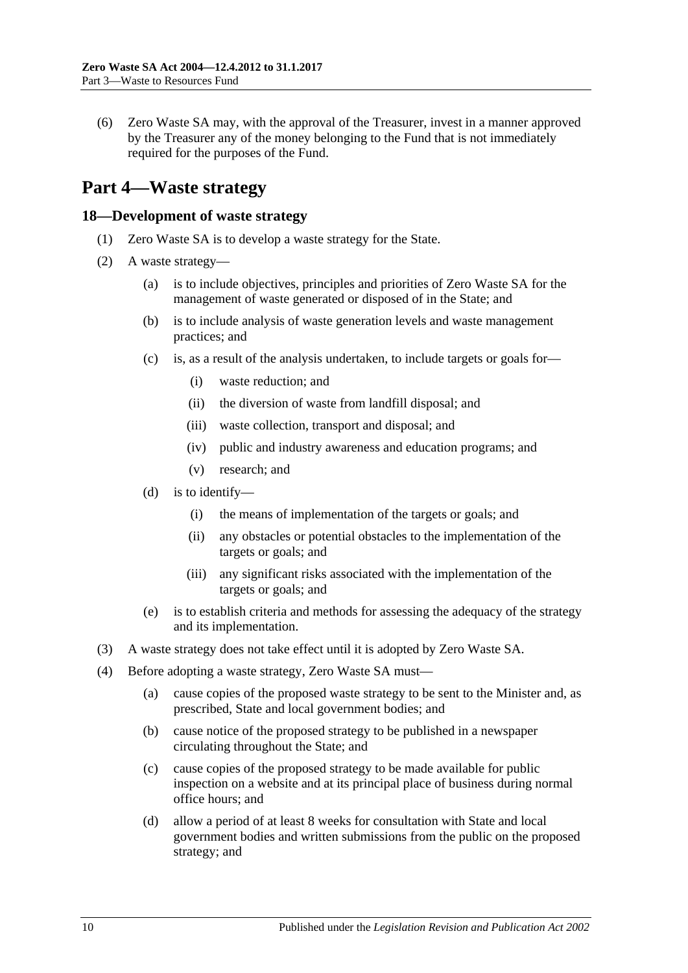(6) Zero Waste SA may, with the approval of the Treasurer, invest in a manner approved by the Treasurer any of the money belonging to the Fund that is not immediately required for the purposes of the Fund.

# <span id="page-9-0"></span>**Part 4—Waste strategy**

#### <span id="page-9-1"></span>**18—Development of waste strategy**

- (1) Zero Waste SA is to develop a waste strategy for the State.
- (2) A waste strategy—
	- (a) is to include objectives, principles and priorities of Zero Waste SA for the management of waste generated or disposed of in the State; and
	- (b) is to include analysis of waste generation levels and waste management practices; and
	- (c) is, as a result of the analysis undertaken, to include targets or goals for—
		- (i) waste reduction; and
		- (ii) the diversion of waste from landfill disposal; and
		- (iii) waste collection, transport and disposal; and
		- (iv) public and industry awareness and education programs; and
		- (v) research; and
	- (d) is to identify—
		- (i) the means of implementation of the targets or goals; and
		- (ii) any obstacles or potential obstacles to the implementation of the targets or goals; and
		- (iii) any significant risks associated with the implementation of the targets or goals; and
	- (e) is to establish criteria and methods for assessing the adequacy of the strategy and its implementation.
- (3) A waste strategy does not take effect until it is adopted by Zero Waste SA.
- (4) Before adopting a waste strategy, Zero Waste SA must—
	- (a) cause copies of the proposed waste strategy to be sent to the Minister and, as prescribed, State and local government bodies; and
	- (b) cause notice of the proposed strategy to be published in a newspaper circulating throughout the State; and
	- (c) cause copies of the proposed strategy to be made available for public inspection on a website and at its principal place of business during normal office hours; and
	- (d) allow a period of at least 8 weeks for consultation with State and local government bodies and written submissions from the public on the proposed strategy; and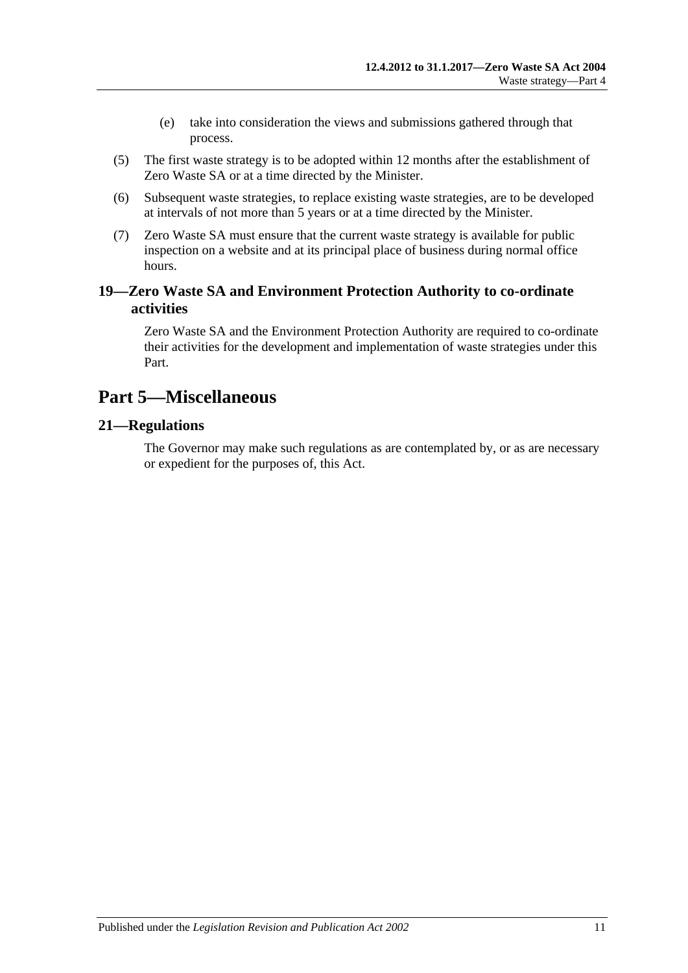- (e) take into consideration the views and submissions gathered through that process.
- (5) The first waste strategy is to be adopted within 12 months after the establishment of Zero Waste SA or at a time directed by the Minister.
- (6) Subsequent waste strategies, to replace existing waste strategies, are to be developed at intervals of not more than 5 years or at a time directed by the Minister.
- (7) Zero Waste SA must ensure that the current waste strategy is available for public inspection on a website and at its principal place of business during normal office hours.

# <span id="page-10-0"></span>**19—Zero Waste SA and Environment Protection Authority to co-ordinate activities**

Zero Waste SA and the Environment Protection Authority are required to co-ordinate their activities for the development and implementation of waste strategies under this Part.

# <span id="page-10-1"></span>**Part 5—Miscellaneous**

# <span id="page-10-2"></span>**21—Regulations**

The Governor may make such regulations as are contemplated by, or as are necessary or expedient for the purposes of, this Act.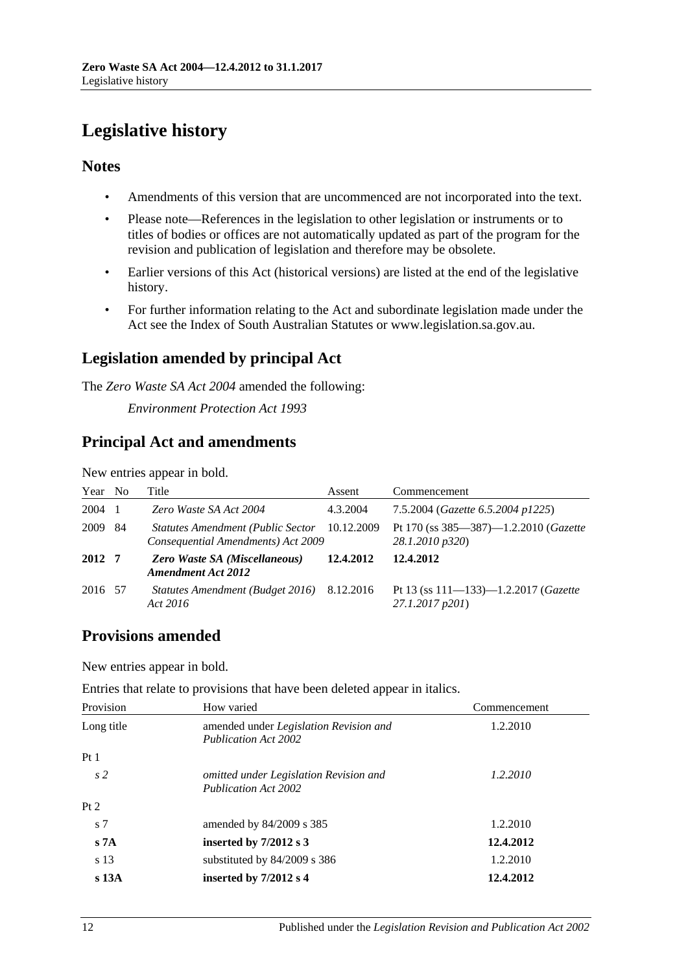# <span id="page-11-0"></span>**Legislative history**

# **Notes**

- Amendments of this version that are uncommenced are not incorporated into the text.
- Please note—References in the legislation to other legislation or instruments or to titles of bodies or offices are not automatically updated as part of the program for the revision and publication of legislation and therefore may be obsolete.
- Earlier versions of this Act (historical versions) are listed at the end of the legislative history.
- For further information relating to the Act and subordinate legislation made under the Act see the Index of South Australian Statutes or www.legislation.sa.gov.au.

# **Legislation amended by principal Act**

The *Zero Waste SA Act 2004* amended the following:

*Environment Protection Act 1993*

# **Principal Act and amendments**

New entries appear in bold.

| Year    | No  | Title                                                                               | Assent    | Commencement                                                             |
|---------|-----|-------------------------------------------------------------------------------------|-----------|--------------------------------------------------------------------------|
| 2004    |     | Zero Waste SA Act 2004                                                              | 4.3.2004  | 7.5.2004 (Gazette 6.5.2004 p1225)                                        |
| 2009    | -84 | Statutes Amendment (Public Sector 10.12.2009)<br>Consequential Amendments) Act 2009 |           | Pt 170 (ss $385 - 387$ ) $-1.2.2010$ ( <i>Gazette</i><br>28.1.2010 p320) |
| 2012 7  |     | Zero Waste SA (Miscellaneous)<br><b>Amendment Act 2012</b>                          | 12.4.2012 | 12.4.2012                                                                |
| 2016 57 |     | Statutes Amendment (Budget 2016) 8.12.2016<br>Act 2016                              |           | Pt 13 (ss $111-133-1.2.2017$ (Gazette<br>27.1.2017 p201)                 |

# **Provisions amended**

New entries appear in bold.

| Entries that relate to provisions that have been deleted appear in italics. |  |  |  |  |
|-----------------------------------------------------------------------------|--|--|--|--|
|-----------------------------------------------------------------------------|--|--|--|--|

| Provision        | How varied                                                            | Commencement |
|------------------|-----------------------------------------------------------------------|--------------|
| Long title       | amended under Legislation Revision and<br><b>Publication Act 2002</b> | 1.2.2010     |
| Pt1              |                                                                       |              |
| s <sub>2</sub>   | omitted under Legislation Revision and<br><b>Publication Act 2002</b> | 1.2.2010     |
| Pt 2             |                                                                       |              |
| s <sub>7</sub>   | amended by $84/2009$ s 385                                            | 1.2.2010     |
| s 7A             | inserted by $7/2012$ s 3                                              | 12.4.2012    |
| s 13             | substituted by $84/2009$ s 386                                        | 1.2.2010     |
| s <sub>13A</sub> | inserted by $7/2012$ s 4                                              | 12.4.2012    |